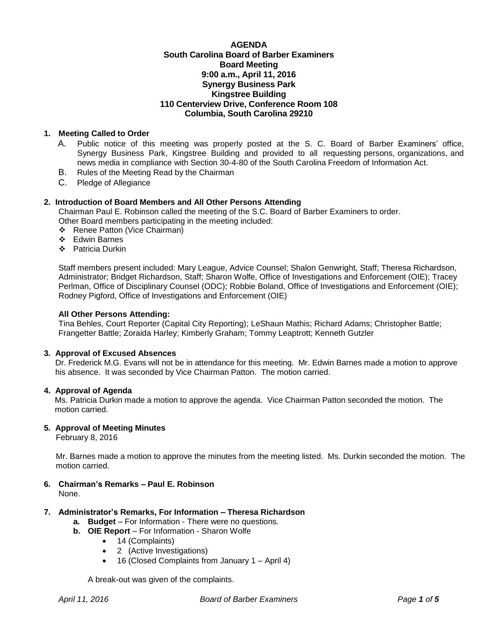## **AGENDA South Carolina Board of Barber Examiners Board Meeting 9:00 a.m., April 11, 2016 Synergy Business Park Kingstree Building 110 Centerview Drive, Conference Room 108 Columbia, South Carolina 29210**

# **1. Meeting Called to Order**

- A. Public notice of this meeting was properly posted at the S. C. Board of Barber Examiners' office, Synergy Business Park, Kingstree Building and provided to all requesting persons, organizations, and news media in compliance with Section 30-4-80 of the South Carolina Freedom of Information Act.
- B. Rules of the Meeting Read by the Chairman
- C. Pledge of Allegiance

## **2. Introduction of Board Members and All Other Persons Attending**

Chairman Paul E. Robinson called the meeting of the S.C. Board of Barber Examiners to order. Other Board members participating in the meeting included:

- Renee Patton (Vice Chairman)
- Edwin Barnes
- ❖ Patricia Durkin

Staff members present included: Mary League, Advice Counsel; Shalon Genwright, Staff; Theresa Richardson, Administrator; Bridget Richardson, Staff; Sharon Wolfe, Office of Investigations and Enforcement (OIE); Tracey Perlman, Office of Disciplinary Counsel (ODC); Robbie Boland, Office of Investigations and Enforcement (OIE); Rodney Pigford, Office of Investigations and Enforcement (OIE)

#### **All Other Persons Attending:**

Tina Behles, Court Reporter (Capital City Reporting); LeShaun Mathis; Richard Adams; Christopher Battle; Frangetter Battle; Zoraida Harley; Kimberly Graham; Tommy Leaptrott; Kenneth Gutzler

#### **3. Approval of Excused Absences**

Dr. Frederick M.G. Evans will not be in attendance for this meeting. Mr. Edwin Barnes made a motion to approve his absence. It was seconded by Vice Chairman Patton. The motion carried.

## **4. Approval of Agenda**

Ms. Patricia Durkin made a motion to approve the agenda. Vice Chairman Patton seconded the motion. The motion carried.

## **5. Approval of Meeting Minutes**

February 8, 2016

Mr. Barnes made a motion to approve the minutes from the meeting listed. Ms. Durkin seconded the motion. The motion carried.

**6. Chairman's Remarks – Paul E. Robinson** None.

# **7. Administrator's Remarks, For Information – Theresa Richardson**

- **a. Budget** For Information There were no questions.
- **b. OIE Report** For Information Sharon Wolfe
	- 14 (Complaints)
	- 2 (Active Investigations)
	- 16 (Closed Complaints from January 1 April 4)

A break-out was given of the complaints.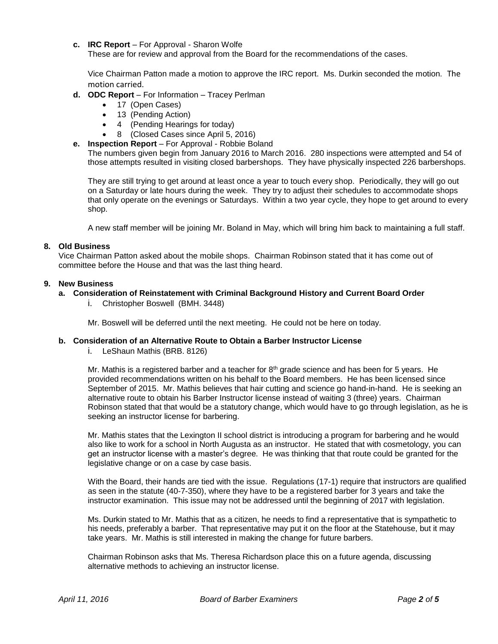**c. IRC Report** – For Approval - Sharon Wolfe

These are for review and approval from the Board for the recommendations of the cases.

Vice Chairman Patton made a motion to approve the IRC report. Ms. Durkin seconded the motion. The motion carried.

- **d. ODC Report** For Information Tracey Perlman
	- 17 (Open Cases)
	- 13 (Pending Action)
	- 4 (Pending Hearings for today)
	- 8 (Closed Cases since April 5, 2016)
- **e. Inspection Report** For Approval Robbie Boland

The numbers given begin from January 2016 to March 2016. 280 inspections were attempted and 54 of those attempts resulted in visiting closed barbershops. They have physically inspected 226 barbershops.

They are still trying to get around at least once a year to touch every shop. Periodically, they will go out on a Saturday or late hours during the week. They try to adjust their schedules to accommodate shops that only operate on the evenings or Saturdays. Within a two year cycle, they hope to get around to every shop.

A new staff member will be joining Mr. Boland in May, which will bring him back to maintaining a full staff.

## **8. Old Business**

Vice Chairman Patton asked about the mobile shops. Chairman Robinson stated that it has come out of committee before the House and that was the last thing heard.

## **9. New Business**

## **a. Consideration of Reinstatement with Criminal Background History and Current Board Order**

i. Christopher Boswell (BMH. 3448)

Mr. Boswell will be deferred until the next meeting. He could not be here on today.

## **b. Consideration of an Alternative Route to Obtain a Barber Instructor License**

i. LeShaun Mathis (BRB. 8126)

Mr. Mathis is a registered barber and a teacher for  $8<sup>th</sup>$  grade science and has been for 5 years. He provided recommendations written on his behalf to the Board members. He has been licensed since September of 2015. Mr. Mathis believes that hair cutting and science go hand-in-hand. He is seeking an alternative route to obtain his Barber Instructor license instead of waiting 3 (three) years. Chairman Robinson stated that that would be a statutory change, which would have to go through legislation, as he is seeking an instructor license for barbering.

Mr. Mathis states that the Lexington II school district is introducing a program for barbering and he would also like to work for a school in North Augusta as an instructor. He stated that with cosmetology, you can get an instructor license with a master's degree. He was thinking that that route could be granted for the legislative change or on a case by case basis.

With the Board, their hands are tied with the issue. Regulations (17-1) require that instructors are qualified as seen in the statute (40-7-350), where they have to be a registered barber for 3 years and take the instructor examination. This issue may not be addressed until the beginning of 2017 with legislation.

Ms. Durkin stated to Mr. Mathis that as a citizen, he needs to find a representative that is sympathetic to his needs, preferably a barber. That representative may put it on the floor at the Statehouse, but it may take years. Mr. Mathis is still interested in making the change for future barbers.

Chairman Robinson asks that Ms. Theresa Richardson place this on a future agenda, discussing alternative methods to achieving an instructor license.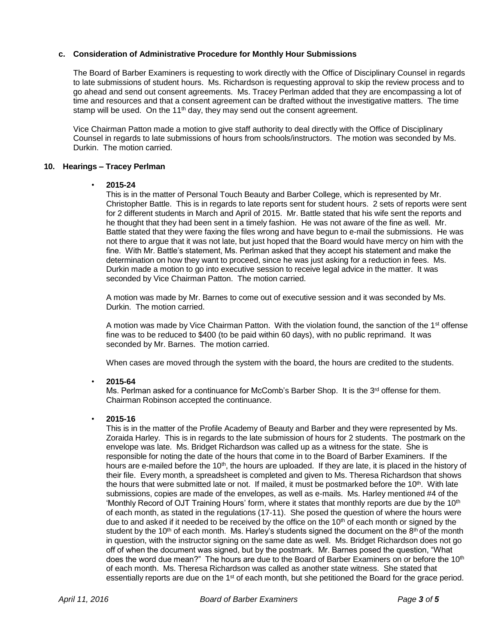## **c. Consideration of Administrative Procedure for Monthly Hour Submissions**

The Board of Barber Examiners is requesting to work directly with the Office of Disciplinary Counsel in regards to late submissions of student hours. Ms. Richardson is requesting approval to skip the review process and to go ahead and send out consent agreements. Ms. Tracey Perlman added that they are encompassing a lot of time and resources and that a consent agreement can be drafted without the investigative matters. The time stamp will be used. On the 11<sup>th</sup> day, they may send out the consent agreement.

Vice Chairman Patton made a motion to give staff authority to deal directly with the Office of Disciplinary Counsel in regards to late submissions of hours from schools/instructors. The motion was seconded by Ms. Durkin. The motion carried.

## **10. Hearings – Tracey Perlman**

## • **2015-24**

This is in the matter of Personal Touch Beauty and Barber College, which is represented by Mr. Christopher Battle. This is in regards to late reports sent for student hours. 2 sets of reports were sent for 2 different students in March and April of 2015. Mr. Battle stated that his wife sent the reports and he thought that they had been sent in a timely fashion. He was not aware of the fine as well. Mr. Battle stated that they were faxing the files wrong and have begun to e-mail the submissions. He was not there to argue that it was not late, but just hoped that the Board would have mercy on him with the fine. With Mr. Battle's statement, Ms. Perlman asked that they accept his statement and make the determination on how they want to proceed, since he was just asking for a reduction in fees. Ms. Durkin made a motion to go into executive session to receive legal advice in the matter. It was seconded by Vice Chairman Patton. The motion carried.

A motion was made by Mr. Barnes to come out of executive session and it was seconded by Ms. Durkin. The motion carried.

A motion was made by Vice Chairman Patton. With the violation found, the sanction of the 1<sup>st</sup> offense fine was to be reduced to \$400 (to be paid within 60 days), with no public reprimand. It was seconded by Mr. Barnes. The motion carried.

When cases are moved through the system with the board, the hours are credited to the students.

## • **2015-64**

Ms. Perlman asked for a continuance for McComb's Barber Shop. It is the  $3<sup>rd</sup>$  offense for them. Chairman Robinson accepted the continuance.

# • **2015-16**

This is in the matter of the Profile Academy of Beauty and Barber and they were represented by Ms. Zoraida Harley. This is in regards to the late submission of hours for 2 students. The postmark on the envelope was late. Ms. Bridget Richardson was called up as a witness for the state. She is responsible for noting the date of the hours that come in to the Board of Barber Examiners. If the hours are e-mailed before the 10<sup>th</sup>, the hours are uploaded. If they are late, it is placed in the history of their file. Every month, a spreadsheet is completed and given to Ms. Theresa Richardson that shows the hours that were submitted late or not. If mailed, it must be postmarked before the  $10<sup>th</sup>$ . With late submissions, copies are made of the envelopes, as well as e-mails. Ms. Harley mentioned #4 of the 'Monthly Record of OJT Training Hours' form, where it states that monthly reports are due by the 10<sup>th</sup> of each month, as stated in the regulations (17-11). She posed the question of where the hours were due to and asked if it needed to be received by the office on the  $10<sup>th</sup>$  of each month or signed by the student by the 10<sup>th</sup> of each month. Ms. Harley's students signed the document on the  $8<sup>th</sup>$  of the month in question, with the instructor signing on the same date as well. Ms. Bridget Richardson does not go off of when the document was signed, but by the postmark. Mr. Barnes posed the question, "What does the word due mean?" The hours are due to the Board of Barber Examiners on or before the 10<sup>th</sup> of each month. Ms. Theresa Richardson was called as another state witness. She stated that essentially reports are due on the 1<sup>st</sup> of each month, but she petitioned the Board for the grace period.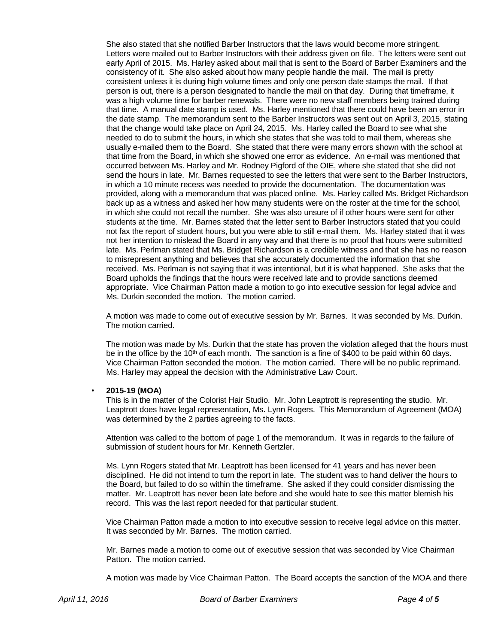She also stated that she notified Barber Instructors that the laws would become more stringent. Letters were mailed out to Barber Instructors with their address given on file. The letters were sent out early April of 2015. Ms. Harley asked about mail that is sent to the Board of Barber Examiners and the consistency of it. She also asked about how many people handle the mail. The mail is pretty consistent unless it is during high volume times and only one person date stamps the mail. If that person is out, there is a person designated to handle the mail on that day. During that timeframe, it was a high volume time for barber renewals. There were no new staff members being trained during that time. A manual date stamp is used. Ms. Harley mentioned that there could have been an error in the date stamp. The memorandum sent to the Barber Instructors was sent out on April 3, 2015, stating that the change would take place on April 24, 2015. Ms. Harley called the Board to see what she needed to do to submit the hours, in which she states that she was told to mail them, whereas she usually e-mailed them to the Board. She stated that there were many errors shown with the school at that time from the Board, in which she showed one error as evidence. An e-mail was mentioned that occurred between Ms. Harley and Mr. Rodney Pigford of the OIE, where she stated that she did not send the hours in late. Mr. Barnes requested to see the letters that were sent to the Barber Instructors, in which a 10 minute recess was needed to provide the documentation. The documentation was provided, along with a memorandum that was placed online. Ms. Harley called Ms. Bridget Richardson back up as a witness and asked her how many students were on the roster at the time for the school, in which she could not recall the number. She was also unsure of if other hours were sent for other students at the time. Mr. Barnes stated that the letter sent to Barber Instructors stated that you could not fax the report of student hours, but you were able to still e-mail them. Ms. Harley stated that it was not her intention to mislead the Board in any way and that there is no proof that hours were submitted late. Ms. Perlman stated that Ms. Bridget Richardson is a credible witness and that she has no reason to misrepresent anything and believes that she accurately documented the information that she received. Ms. Perlman is not saying that it was intentional, but it is what happened. She asks that the Board upholds the findings that the hours were received late and to provide sanctions deemed appropriate. Vice Chairman Patton made a motion to go into executive session for legal advice and Ms. Durkin seconded the motion. The motion carried.

A motion was made to come out of executive session by Mr. Barnes. It was seconded by Ms. Durkin. The motion carried.

The motion was made by Ms. Durkin that the state has proven the violation alleged that the hours must be in the office by the 10<sup>th</sup> of each month. The sanction is a fine of \$400 to be paid within 60 days. Vice Chairman Patton seconded the motion. The motion carried. There will be no public reprimand. Ms. Harley may appeal the decision with the Administrative Law Court.

## • **2015-19 (MOA)**

This is in the matter of the Colorist Hair Studio. Mr. John Leaptrott is representing the studio. Mr. Leaptrott does have legal representation, Ms. Lynn Rogers. This Memorandum of Agreement (MOA) was determined by the 2 parties agreeing to the facts.

Attention was called to the bottom of page 1 of the memorandum. It was in regards to the failure of submission of student hours for Mr. Kenneth Gertzler.

Ms. Lynn Rogers stated that Mr. Leaptrott has been licensed for 41 years and has never been disciplined. He did not intend to turn the report in late. The student was to hand deliver the hours to the Board, but failed to do so within the timeframe. She asked if they could consider dismissing the matter. Mr. Leaptrott has never been late before and she would hate to see this matter blemish his record. This was the last report needed for that particular student.

Vice Chairman Patton made a motion to into executive session to receive legal advice on this matter. It was seconded by Mr. Barnes. The motion carried.

Mr. Barnes made a motion to come out of executive session that was seconded by Vice Chairman Patton. The motion carried.

A motion was made by Vice Chairman Patton. The Board accepts the sanction of the MOA and there